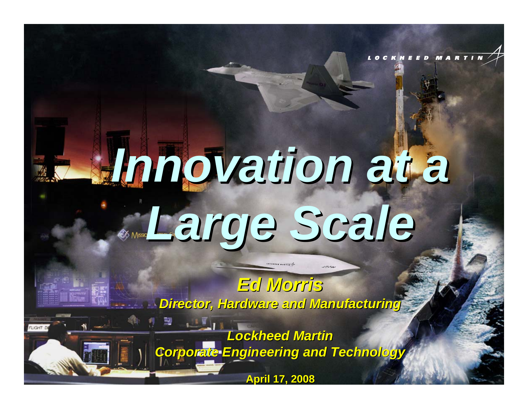# *Innovation at a Innovation at a Large Scale Large Scale*

CKHEED MARTIN

*Ed Morris Ed MorrisDirector, Hardware and Manufacturing Director, Hardware and Manufacturing*

*Lockheed Martin Lockheed Martin Corporate Engineering and Technology Corporate Engineering and Technology*

**April 17, 2008 ril 17, 2008**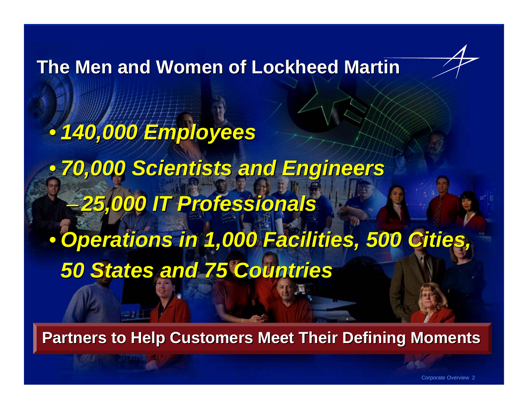**The Men and Women of Lockheed Martin The Men and Women of Lockheed Martin**

• *140,000 Employees 140,000 Employees* • *70,000 Scientists and Engineers 70,000 Scientists and Engineers* –*25,000 IT Professionals 25,000 IT Professionals*  $\bullet$ **Operations in 1,000 Facilities, 500 Cities** *50 States and 75 Countries 50 States and 75 Countries*

**Partners to Help Customers Meet Their Defining Moments** 

Corporate Overview 2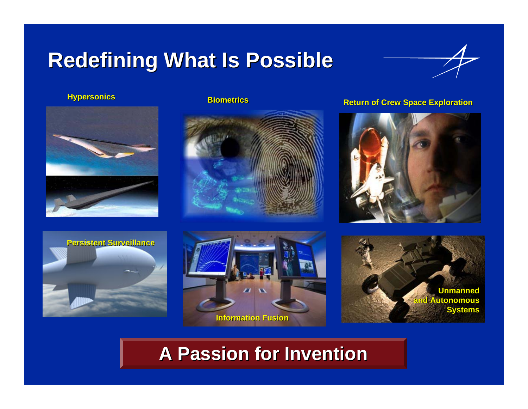### **Redefining What Is Possible Redefining What Is Possible**





**Biometrics**



### **Biometrics Biometrics Return of Crew Space Exploration**









### **A Passion for Invention A Passion for Invention**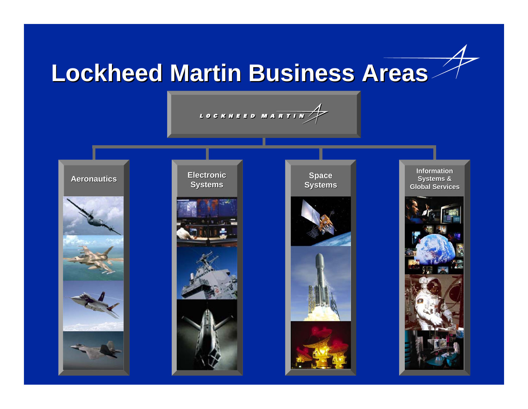### **Lockheed Martin Business Areas Lockheed Martin Business Areas**



#### **Aeronautics**











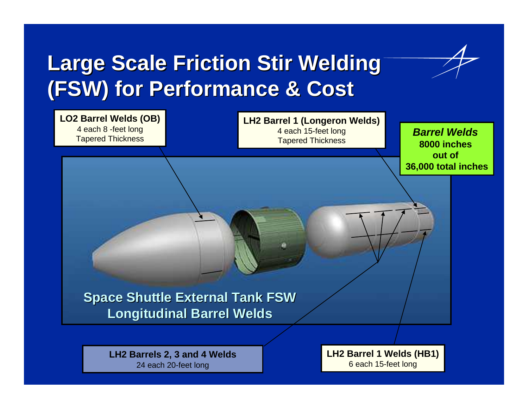### **Large Scale Friction Stir Welding (FSW) for Performance & Cost (FSW) for Performance & Cost**



**LH2 Barrels 2, 3 and 4 Welds** 24 each 20-feet long

**LH2 Barrel 1 Welds (HB1)** 6 each 15-feet long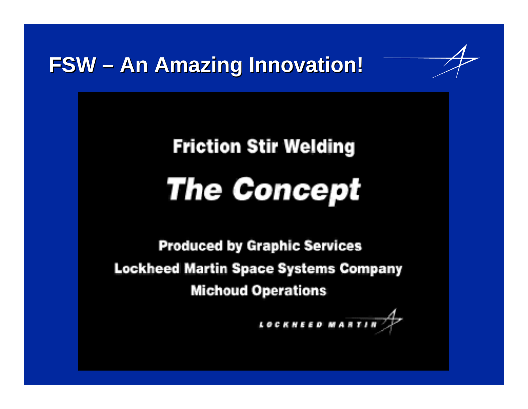**FSW – An Amazing Innovation!** 

## **Friction Stir Welding The Concept**

**Produced by Graphic Services Lockheed Martin Space Systems Company Michoud Operations** 

LOCKNEED MARTI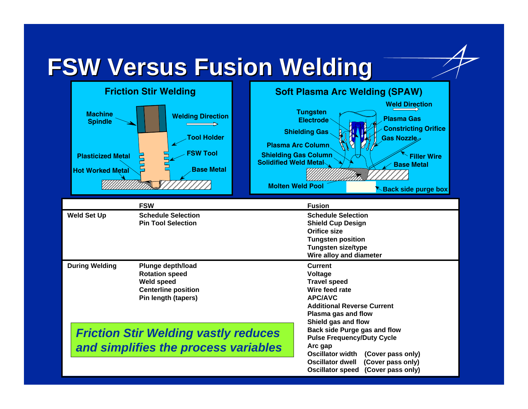### **FSW Versus Fusion Welding FSW Versus Fusion Welding**

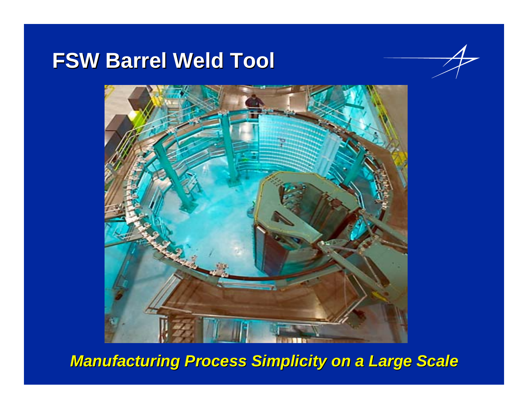### **FSW Barrel Weld Tool FSW Barrel Weld Tool**



*Manufacturing Process Simplicity on a Large Scale Manufacturing Process Simplicity on a Large Scale*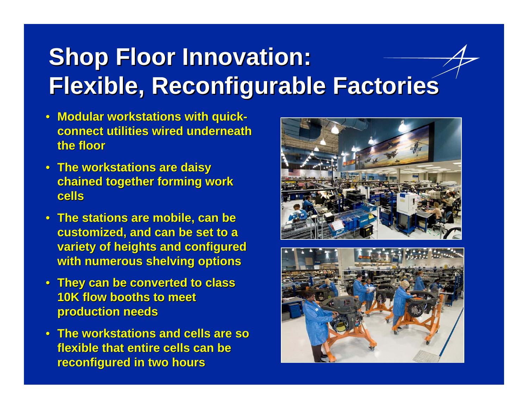## **Shop Floor Innovation: Flexible, Reconfigurable Factories Flexible, Reconfigurable Factories**

- Modular workstations with quick**connect utilities wired underneath connect utilities wired underneath the floor the floor**
- **The workstations are daisy The workstations are daisy chained together forming work chained together forming work cells**
- **The stations are mobile, can be The stations are mobile, can be customized, and can be set to a variety of heights and configured** with numerous shelving options
- **They can be converted to class They can be converted to class 10K flow booths to meet production needs production needs**
- **The workstations and cells are so The workstations and cells are so flexible that entire cells can be flexible that entire cells can be reconfigured in two hours**



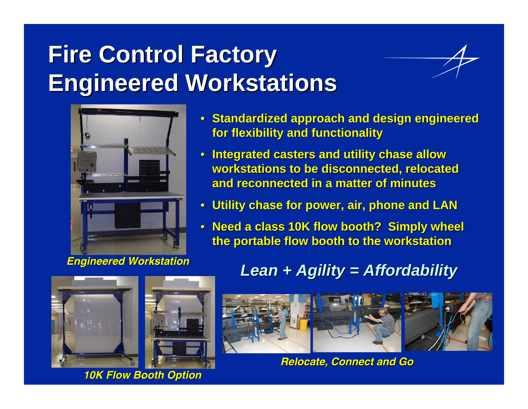## **Fire Control Factory Fire Control Factory Engineered Workstations Engineered Workstations**





*Engineered Workstation Engineered Workstation*

- **Standardized approach and design engineered Standardized approach and design engineered for flexibility and functionality for flexibility and functionality**
- **Integrated casters and utility chase allow Integrated casters and utility chase allow workstations to be disconnected, relocated workstations to be disconnected, relocated and reconnected in a matter of minutes and reconnected in a matter of minutes**
- **Utility chase for power, air, phone and LAN Utility chase for power, air, phone and LAN**
- **Need a class 10K flow booth? Simply wheel the portable flow booth to the workstation the portable flow booth to the workstation**



*10K Flow Booth Option 10K Flow Booth Option*

### *Lean + Agility = Affordability Lean + Agility = Affordability*



*Relocate, Connect and Go Relocate, Connect and*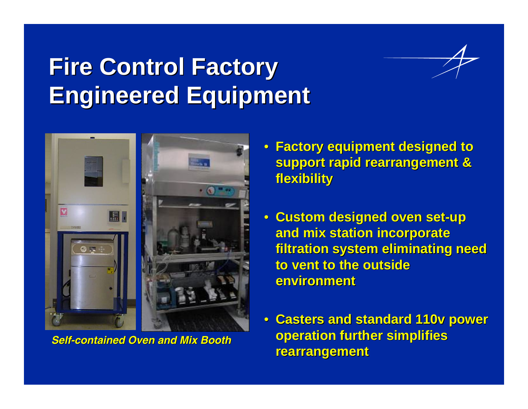### **Fire Control Factory Fire Control Factory Engineered Equipment**



*Self-contained Oven and Mix Booth contained Oven and Mix Booth*

- **Factory equipment designed to Factory equipment designed to support rapid rearrangement & flexibility flexibility**
- **Custom designed oven set Custom designed oven set -up and mix station incorporate and mix station incorporate filtration system eliminating need to vent to the outside**  $\blacksquare$ **environment environment**
- **Casters and standard 110v power Casters and standard 110v power operation further simplifies rearrangement rearrangement**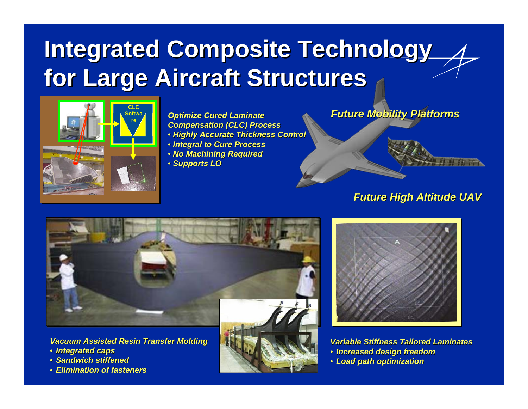### **Integrated Composite Technology for Large Aircraft Structures for Large Aircraft Structures**



**Optimize Cured Laminate** *Compensation (CLC) Process* • *Highly Accurate Thickness Control Highly Accurate Thickness Control* • *Integral to Cure Process* • *No Machining Required* • *Supports LO*

*Future Mobility Platforms Future Mobility Platforms*

#### *Future High Altitude UAV Future High Altitude UAV*



*Vacuum Assisted Resin Transfer Molding Vacuum Assisted Resin Transfer Molding* 

- *Integrated caps*
- *Sandwich stiffened*
- *Elimination of fasteners*





*Variable Stiffness Tailored Laminates Variable Stiffness Tailored Laminates* • *Increased design freedom* • *Load path optimization*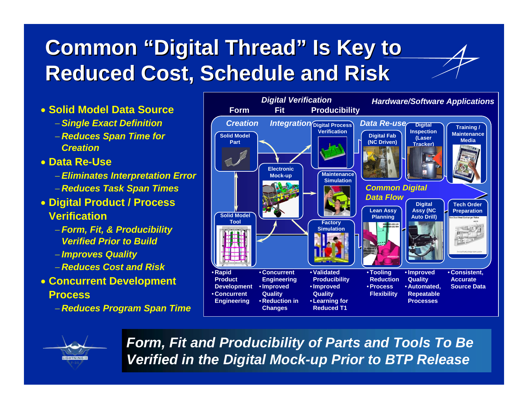### **Common "Digital Thread" Is Key to Reduced Cost, Schedule and Risk Reduced Cost, Schedule and Risk**

#### • **Solid Model Data Source**

- − *Single Exact Definition*
- − *Reduces Span Time for Creation*

#### • **Data Re-Use**

- − *Eliminates Interpretation Error*
- − *Reduces Task Span Times*
- **Digital Product / Process Verification**
	- − *Form, Fit, & Producibility Verified Prior to Build*
	- − *Improves Quality*
	- − *Reduces Cost and Risk*
- **Concurrent Development Process**
	- − *Reduces Program Span Time*





*Form, Fit and Producibility of Parts and Tools To Be Verified in the Digital Mock-up Prior to BTP Release*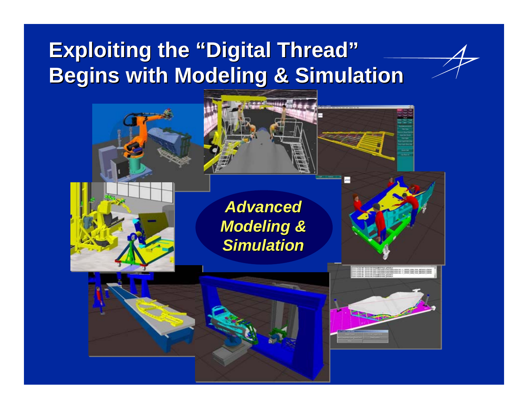### **Exploiting the "Digital Thread" Begins with Modeling & Simulation Begins with Modeling & Simulation**













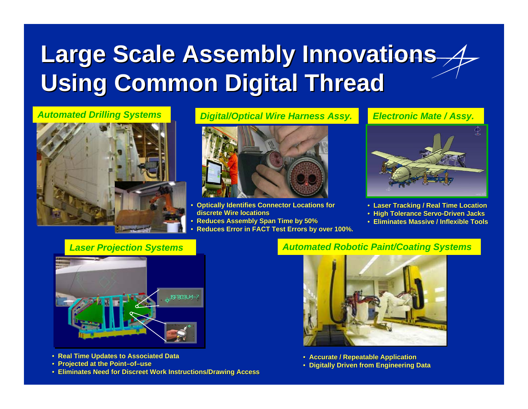## **Large Scale Assembly Innovations Age / Assembly Innovations Administrations Assembly Using Common Digital Thread**



#### *Automated Drilling Systems Digital/Optical Wire Harness Assy.*



- Optically Identifies Connector Locations for **discrete Wire locations discrete Wire locations**
- **Reduces Assembly Span Time by 50%**
- •**Reduces Error in FACT Test Errors by over 100%. Reduces Error in Test Errors by over 100%.**



*Electronic Mate / Assy.*

- **Laser Tracking / Real Time Location**
- **High Tolerance Servo-Driven Jacks Driven Jacks**
- **Eliminates Massive / Inflexible Tools**

#### *Laser Projection Systems*



- **Real Time Updates to Associated Data**
- **Projected at the Point Projected the Point –of–use**
- **Eliminates Need for Discreet Work Instructions/Drawing Access**

#### *Automated Robotic Paint/Coating Systems*



- **Accurate / Repeat Accurate / Repeatable Application**
- **Digitally Driven from Engineering Data**